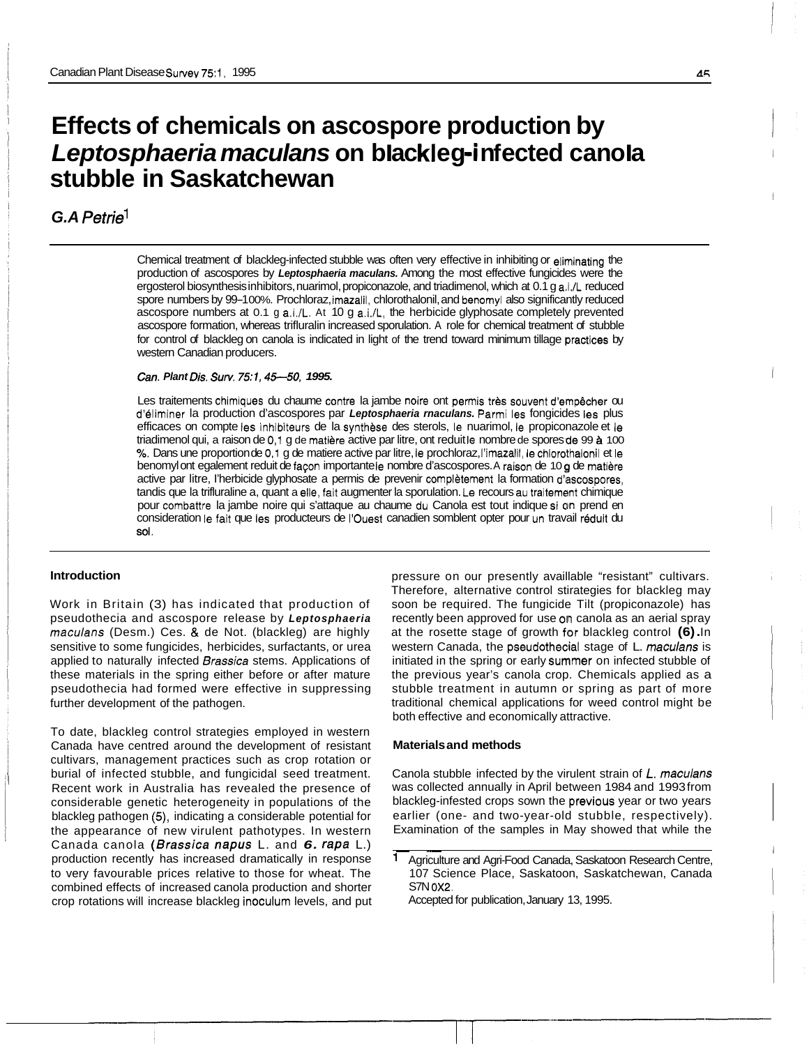# **Effects of chemicals on ascospore production by Leptosphaeria maculans on blackleg-infected canola stubble in Saskatchewan**

# *G.A Petriel*

Chemical treatment of blackleg-infected stubble was often very effective in inhibiting or eliminating the production of ascospores by *Leptosphaeria maculans.* Among the most effective fungicides were the ergosterol biosynthesis inhibitors, nuarimol, propiconazole, and triadimenol, which at 0.1 g a.i./L reduced spore numbers by 99-100%. Prochloraz, imazalil, chlorothalonil, and benomyl also significantly reduced ascospore numbers at 0.1 g a.i./L. At 10 g a.i./L, the herbicide glyphosate completely prevented ascospore formation, whereas trifluralin increased sporulation. A role for chemical treatment of stubble for control of blackleg on canola is indicated in light of the trend toward minimum tillage practices by western Canadian producers.

### *Can. Plant Dis. Surv. 751, 45-50, 1995.*

Les traitements chimiques du chaume contre la jambe noire ont permis très souvent d'empêcher ou d'bliminer la production d'ascospores par *Leptosphaeria rnaculans.* Parmi les fongicides les plus efficaces on compte les inhibiteurs de la synthese des sterols, le nuarimol, le propiconazole et le triadimenol qui, a raison de 0,1 g de matière active par litre, ont reduit le nombre de spores de 99 à 100 *Yo.* Dans une proportion de 0,l g de matiere active par litre, le prochloraz, I'imazalil, le chlorothalonil et le benomyl ont egalement reduit de faeon importante le nombre d'ascospores. A raison de 10 **0** de matiere active par litre, l'herbicide glyphosate a permis de prevenir complètement la formation d'ascospores, tandis que la trifluraline a, quant a elle, fait augmenter la sporulation. Le recours au traitement chimique pour combattre la jambe noire qui s'attaque au chaume du Canola est tout indique si on prend en consideration le fait que les producteurs de I'Ouest canadien somblent opter pour un travail reduit du **sol.** 

# **Introduction**

Work in Britain (3) has indicated that production of pseudothecia and ascospore release by *Leptosphaeria maculans* (Desm.) Ces. & de Not. (blackleg) are highly sensitive to some fungicides, herbicides, surfactants, or urea applied to naturally infected *Brassica* stems. Applications of these materials in the spring either before or after mature pseudothecia had formed were effective in suppressing further development of the pathogen.

To date, blackleg control strategies employed in western Canada have centred around the development of resistant cultivars, management practices such as crop rotation or burial of infected stubble, and fungicidal seed treatment. Recent work in Australia has revealed the presence of considerable genetic heterogeneity in populations of the blackleg pathogen **(5),** indicating a considerable potential for the appearance of new virulent pathotypes. In western Canada canola *(Brassica napus* L. and *6. rapa* L.) production recently has increased dramatically in response to very favourable prices relative to those for wheat. The combined effects of increased canola production and shorter crop rotations will increase blackleg inoculum levels, and put pressure on our presently availlable "resistant" cultivars. Therefore, alternative control stirategies for blackleg may soon be required. The fungicide Tilt (propiconazole) has recently been approved for use on canola as an aerial spray at the rosette stage of growth for blackleg control **(6).** In western Canada, the pseudothecial stage of L. *maculans* is initiated in the spring or early summer on infected stubble of the previous year's canola crop. Chemicals applied as a stubble treatment in autumn or spring as part of more traditional chemical applications for weed control might be both effective and economically attractive.

#### **Materials and methods**

Canola stubble infected by the virulent strain of *L. maculans*  was collected annually in April between 1984 and 1993 from blackleg-infested crops sown the previous year or two years earlier (one- and two-year-old stubble, respectively). Examination of the samples in May showed that while the

Agriculture and Agri-Food Canada, Saskatoon Research Centre, 107 Science Place, Saskatoon, Saskatchewan, Canada S7N **0x2.** 

Accepted for publication, January 13, 1995.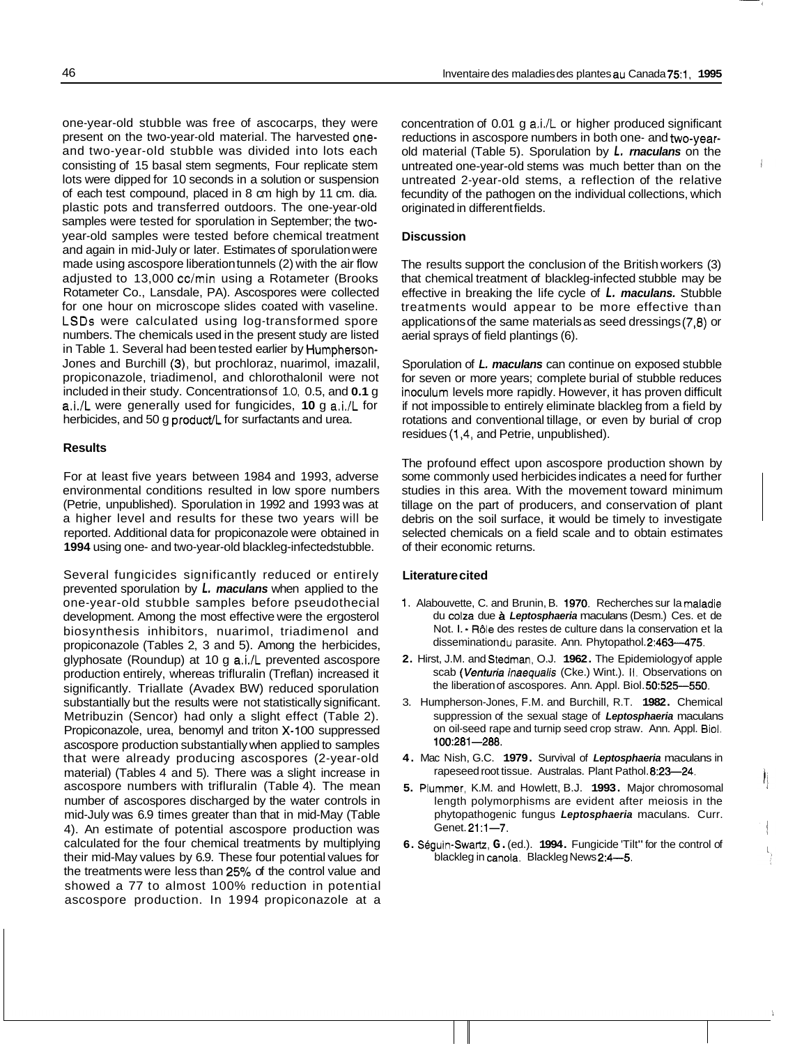one-year-old stubble was free of ascocarps, they were present on the two-year-old material. The harvested oneand two-year-old stubble was divided into lots each consisting of 15 basal stem segments, Four replicate stem lots were dipped for 10 seconds in a solution or suspension of each test compound, placed in 8 cm high by 11 cm. dia. plastic pots and transferred outdoors. The one-year-old samples were tested for sporulation in September; the twoyear-old samples were tested before chemical treatment and again in mid-July or later. Estimates of sporulation were made using ascospore liberation tunnels (2) with the air flow adjusted to 13,000 cc/min using a Rotameter (Brooks Rotameter Co., Lansdale, PA). Ascospores were collected for one hour on microscope slides coated with vaseline. LSDs were calculated using log-transformed spore numbers. The chemicals used in the present study are listed in Table 1. Several had been tested earlier by Humpherson-Jones and Burchill (3), but prochloraz, nuarimol, imazalil, propiconazole, triadimenol, and chlorothalonil were not included in their study. Concentrations of 1 .O, 0.5, and **0.1** g a.i./L were generally used for fungicides, **10** g a.i./L for herbicides, and 50 g product/L for surfactants and urea.

# **Results**

For at least five years between 1984 and 1993, adverse environmental conditions resulted in low spore numbers (Petrie, unpublished). Sporulation in 1992 and 1993 was at a higher level and results for these two years will be reported. Additional data for propiconazole were obtained in 1994 using one- and two-year-old blackleg-infected stubble.

Several fungicides significantly reduced or entirely prevented sporulation by *L. maculans* when applied to the one-year-old stubble samples before pseudothecial development. Among the most effective were the ergosterol biosynthesis inhibitors, nuarimol, triadimenol and propiconazole (Tables 2, 3 and 5). Among the herbicides, glyphosate (Roundup) at 10 g a.i./L prevented ascospore production entirely, whereas trifluralin (Treflan) increased it significantly. Triallate (Avadex BW) reduced sporulation substantially but the results were not statistically significant. Metribuzin (Sencor) had only a slight effect (Table 2). Propiconazole, urea, benomyl and triton X-1 00 suppressed ascospore production substantially when applied to samples that were already producing ascospores (2-year-old material) (Tables 4 and 5). There was a slight increase in ascospore numbers with trifluralin (Table 4). The mean number of ascospores discharged by the water controls in mid-July was 6.9 times greater than that in mid-May (Table 4). An estimate of potential ascospore production was calculated for the four chemical treatments by multiplying their mid-May values by 6.9. These four potential values for the treatments were less than 25% of the control value and showed a 77 to almost 100% reduction in potential ascospore production. In 1994 propiconazole at a concentration of 0.01 g a.i./L or higher produced significant reductions in ascospore numbers in both one- and two-yearold material (Table 5). Sporulation by *L. rnaculans* on the untreated one-year-old stems was much better than on the untreated 2-year-old stems, a reflection of the relative fecundity of the pathogen on the individual collections, which originated in different fields.

# **Discussion**

The results support the conclusion of the British workers (3) that chemical treatment of blackleg-infected stubble may be effective in breaking the life cycle of *L. maculans.* Stubble treatments would appear to be more effective than applications of the same materials as seed dressings (7,8) or aerial sprays of field plantings (6).

Sporulation of *L. maculans* can continue on exposed stubble for seven or more years; complete burial of stubble reduces inoculum levels more rapidly. However, it has proven difficult if not impossible to entirely eliminate blackleg from a field by rotations and conventional tillage, or even by burial of crop residues (1,4, and Petrie, unpublished).

The profound effect upon ascospore production shown by some commonly used herbicides indicates a need for further studies in this area. With the movement toward minimum tillage on the part of producers, and conservation of plant debris on the soil surface, it would be timely to investigate selected chemicals on a field scale and to obtain estimates of their economic returns.

# **Literature cited**

- **1.** Alabouvette, C. and Brunin, B. **1970.** Recherches sur la maladie du colza due **A** *Leptosphaeria* maculans (Desm.) Ces. et de Not. I. - Rôle des restes de culture dans la conservation et la dissemination du parasite. Ann. Phytopathol. 2:463-475.
- **2.** Hirst, J.M. and Stedman, O.J. **1962.** The Epidemiology of apple scab *(Venturia* inaequalis (Cke.) Wint.). 11. Observations on the liberation of ascospores. Ann. Appl. Biol. **50:525-550.**
- 3. Humpherson-Jones, F.M. and Burchill, R.T. **1982.** Chemical suppression of the sexual stage of *Leptosphaeria* maculans on oil-seed rape and turnip seed crop straw. Ann. Appl. Biol. **100:281-288.**
- **4.** Mac Nish, G.C. **1979.** Survival of *Leptosphaeria* maculans in rapeseed root tissue. Australas. Plant Pathol. **8:23-24.**
- **5.** Plummer, K.M. and Howlett, B.J. **1993.** Major chromosomal length polymorphisms are evident after meiosis in the phytopathogenic fungus *Leptosphaeria* maculans. Curr. Genet. **21:l-7.**
- **6.** Seguin-Swartz, **G.** (ed.). **1994.** Fungicide 'Tilt" for the control of blackleg in canola. Blackleg News **2:4-5.**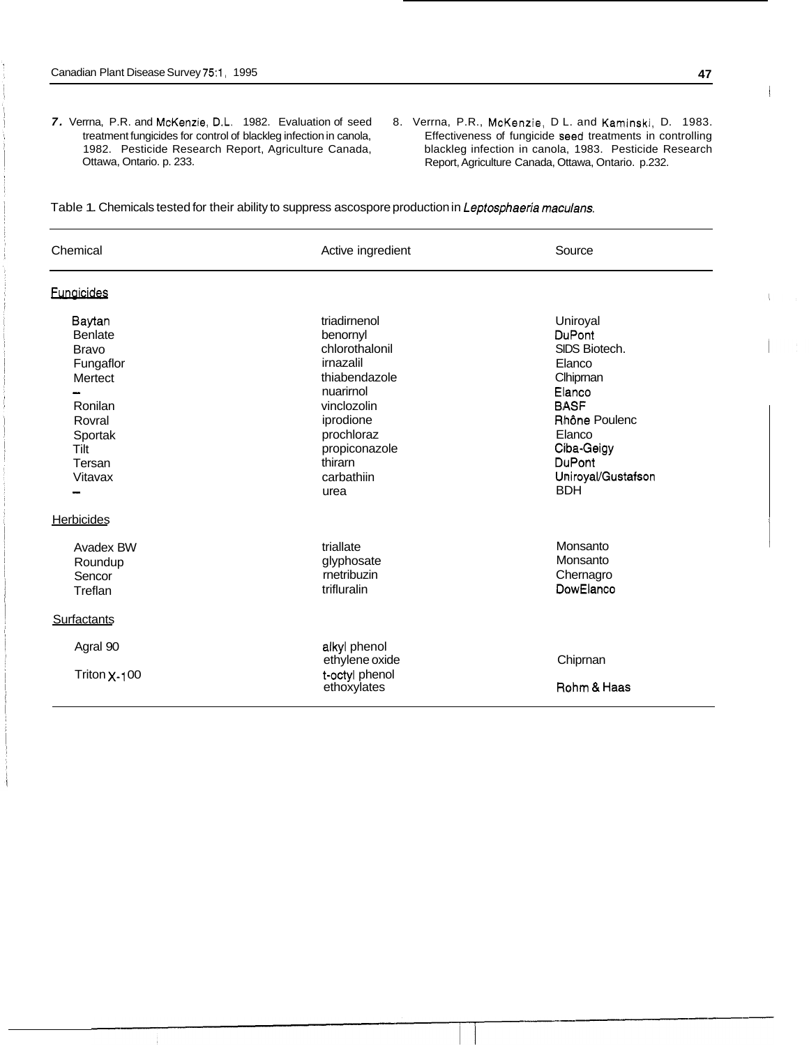- 7. Verrna, P.R. and McKenzie, D.L. 1982. Evaluation of seed treatment fungicides for control of blackleg infection in canola, 1982. Pesticide Research Report, Agriculture Canada, Ottawa, Ontario. p. 233.
- 8. Verrna, P.R., McKenzie, D L. and Kaminski, D. 1983. Effectiveness of fungicide seed treatments in controlling blackleg infection in canola, 1983. Pesticide Research Report, Agriculture Canada, Ottawa, Ontario. p.232.

| Table 1. Chemicals tested for their ability to suppress ascospore production in Leptosphaeria maculans. |  |  |
|---------------------------------------------------------------------------------------------------------|--|--|
|                                                                                                         |  |  |

| Chemical                                                                                                                      | Active ingredient                                                                                                                                                                 | Source                                                                                                                                                                    |
|-------------------------------------------------------------------------------------------------------------------------------|-----------------------------------------------------------------------------------------------------------------------------------------------------------------------------------|---------------------------------------------------------------------------------------------------------------------------------------------------------------------------|
| <b>Fungicides</b>                                                                                                             |                                                                                                                                                                                   |                                                                                                                                                                           |
| Baytan<br><b>Benlate</b><br><b>Bravo</b><br>Fungaflor<br>Mertect<br>Ronilan<br>Rovral<br>Sportak<br>Tilt<br>Tersan<br>Vitavax | triadirnenol<br>benornyl<br>chlorothalonil<br>irnazalil<br>thiabendazole<br>nuarirnol<br>vinclozolin<br>iprodione<br>prochloraz<br>propiconazole<br>thirarn<br>carbathiin<br>urea | Uniroyal<br>DuPont<br>SIDS Biotech.<br>Elanco<br>Clhipman<br>Elanco<br><b>BASF</b><br>Rhône Poulenc<br>Elanco<br>Ciba-Geigy<br>DuPont<br>Uniroyal/Gustafson<br><b>BDH</b> |
| <b>Herbicides</b>                                                                                                             |                                                                                                                                                                                   |                                                                                                                                                                           |
| Avadex BW<br>Roundup<br>Sencor<br>Treflan                                                                                     | triallate<br>glyphosate<br>rnetribuzin<br>trifluralin                                                                                                                             | Monsanto<br>Monsanto<br>Chernagro<br>DowElanco                                                                                                                            |
| Surfactants                                                                                                                   |                                                                                                                                                                                   |                                                                                                                                                                           |
| Agral 90<br>Triton $X-100$                                                                                                    | alkyl phenol<br>ethylene oxide<br>t-octyl phenol<br>ethoxylates                                                                                                                   | Chiprnan<br>Rohm & Haas                                                                                                                                                   |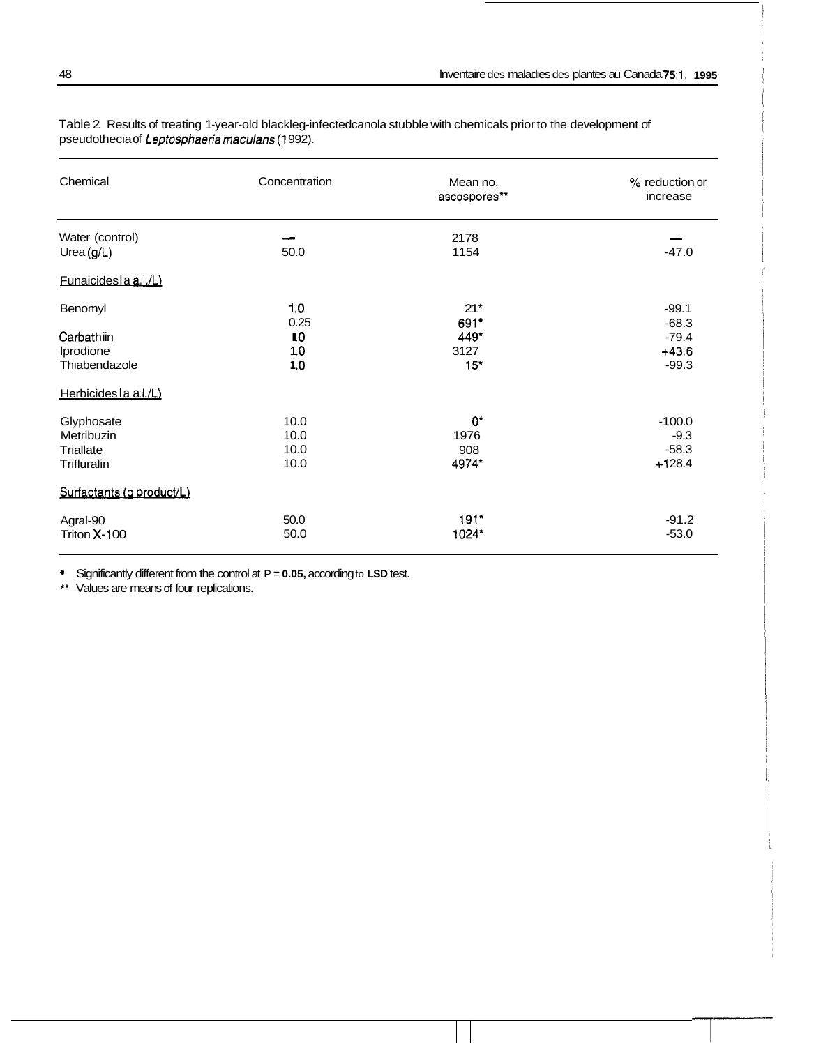| Chemical                        | Concentration             | Mean no.<br>ascospores** | % reduction or<br>increase |
|---------------------------------|---------------------------|--------------------------|----------------------------|
| Water (control)<br>Urea $(g/L)$ | 50.0                      | 2178<br>1154             | $-47.0$                    |
| Funaicides la a.i./L)           |                           |                          |                            |
| Benomyl                         | 1.0<br>0.25               | $21*$<br>691*            | $-99.1$<br>$-68.3$         |
| Carbathiin                      | $\mathbf{I}^{\mathbf{0}}$ | 449*                     | $-79.4$                    |
| Iprodione                       | 1.0                       | 3127                     | $+43.6$                    |
| Thiabendazole                   | 1.0                       | 15"                      | $-99.3$                    |
| Herbicides la ai./L)            |                           |                          |                            |
| Glyphosate                      | 10.0                      | $0^*$                    | $-100.0$                   |
| Metribuzin                      | 10.0                      | 1976                     | $-9.3$                     |
| Triallate                       | 10.0                      | 908                      | $-58.3$                    |
| Trifluralin                     | 10.0                      | 4974*                    | $+128.4$                   |
| Surfactants (g product/L)       |                           |                          |                            |
| Agral-90                        | 50.0                      | $191*$                   | $-91.2$                    |
| Triton X-100                    | 50.0                      | 1024*                    | $-53.0$                    |

Table 2 Results of treating 1-year-old blackleg-infectedcanola stubble with chemicals prior to the development of pseudothecia of Leptosphaeria maculans (1992).

• Significantly different from the control at  $P = 0.05$ , according to LSD test.

\*\* Values are means of four replications.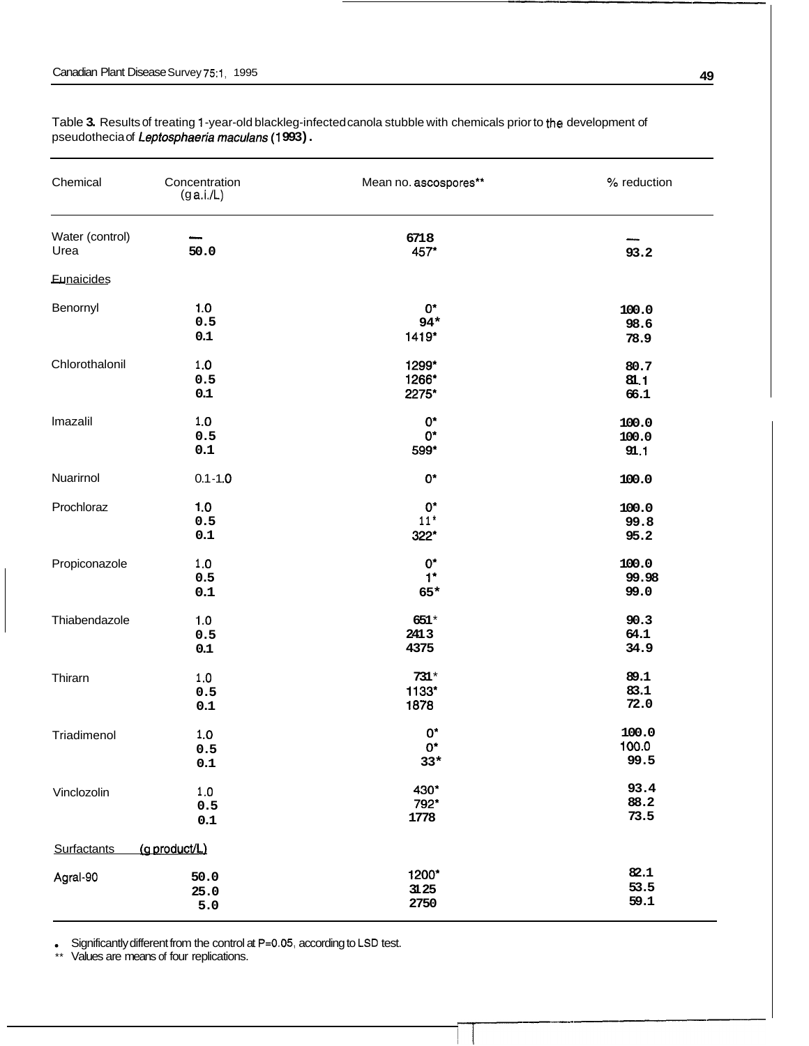| Chemical           | Concentration<br>(g a.i.L) | Mean no. ascospores** | % reduction |
|--------------------|----------------------------|-----------------------|-------------|
| Water (control)    | 50.0                       | 6718                  |             |
| Urea               |                            | 457*                  | 93.2        |
| Eunaicides         |                            |                       |             |
| Benornyl           | 1.0                        | 0*                    | 100.0       |
|                    | 0.5                        | $94*$                 | 98.6        |
|                    | 0.1                        | 1419*                 | 78.9        |
| Chlorothalonil     | $1.0\,$                    | 1299*                 | 80.7        |
|                    | 0.5                        | 1266*                 | 81.1        |
|                    | 0.1                        | 2275*                 | 66.1        |
| Imazalil           | $1.0\,$                    | $0^*$                 | 100.0       |
|                    | 0.5                        | $0^*$                 | 100.0       |
|                    | 0.1                        | 599*                  | 91.1        |
| Nuarirnol          | $0.1 - 1.0$                | $0^{\star}$           | 100.0       |
| Prochloraz         | 1.0                        | $0^*$                 | 100.0       |
|                    | 0.5                        | $11*$                 | 99.8        |
|                    | 0.1                        | 322*                  | 95.2        |
| Propiconazole      | $1.0\,$                    | $0^*$                 | 100.0       |
|                    | 0.5                        | $1*$                  | 99.98       |
|                    | 0.1                        | 65*                   | 99.0        |
| Thiabendazole      | 1.0                        | 651*                  | 90.3        |
|                    | 0.5                        | 2413                  | 64.1        |
|                    | $0.1\,$                    | 4375                  | 34.9        |
| Thirarn            | 1.0                        | $731*$                | 89.1        |
|                    | 0.5                        | 1133*                 | 83.1        |
|                    | $0.1\,$                    | 1878                  | 72.0        |
| Triadimenol        | 1.0                        | $0^*$                 | 100.0       |
|                    | 0.5                        | $0^*$                 | 100.0       |
|                    | $0.1\,$                    | $33*$                 | 99.5        |
| Vinclozolin        | $1.0\,$                    | 430*                  | 93.4        |
|                    | 0.5                        | 792*                  | 88.2        |
|                    | 0.1                        | 1778                  | 73.5        |
| <b>Surfactants</b> | (g product/L)              |                       |             |
| Agral-90           | 50.0                       | 1200*                 | 82.1        |
|                    | 25.0                       | 31.25                 | 53.5        |
|                    | 5.0                        | 2750                  | 59.1        |

Table 3. Results of treating 1-year-old blackleg-infected canola stubble with chemicals prior to the development of pseudothecia of Leptosphaeria maculans (1993).

Significantly different from the control at P=0.05, according to LSD test.

\*\* Values are means of four replications.